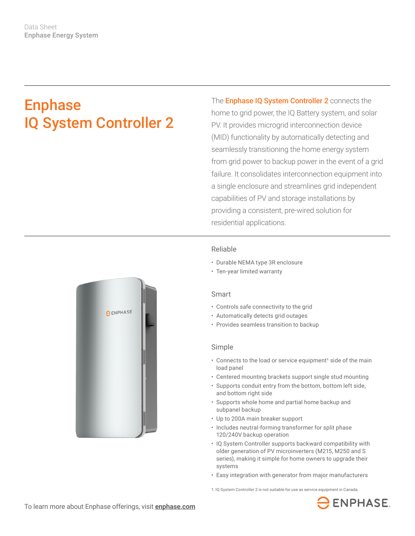# Enphase IQ System Controller 2

The **Enphase IQ System Controller 2** connects the home to grid power, the IQ Battery system, and solar PV. It provides microgrid interconnection device (MID) functionality by automatically detecting and seamlessly transitioning the home energy system from grid power to backup power in the event of a grid failure. It consolidates interconnection equipment into a single enclosure and streamlines grid independent capabilities of PV and storage installations by providing a consistent, pre-wired solution for residential applications.

### Reliable

- Durable NEMA type 3R enclosure
- Ten-year limited warranty

#### Smart

- Controls safe connectivity to the grid
- Automatically detects grid outages
- Provides seamless transition to backup

#### Simple

- Connects to the load or service equipment<sup>1</sup> side of the main load panel
- Centered mounting brackets support single stud mounting
- Supports conduit entry from the bottom, bottom left side, and bottom right side
- Supports whole home and partial home backup and subpanel backup
- Up to 200A main breaker support
- Includes neutral-forming transformer for split phase 120/240V backup operation
- IQ System Controller supports backward compatibility with older generation of PV microinverters (M215, M250 and S series), making it simple for home owners to upgrade their systems
- Easy integration with generator from major manufacturers

1. IQ System Controller 2 is not suitable for use as service equipment in Canada.